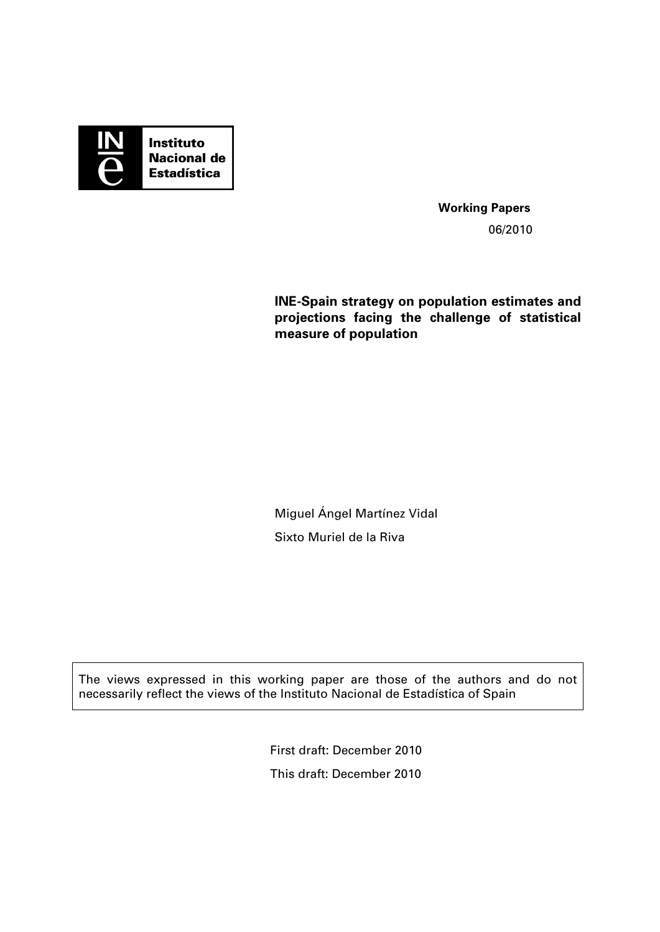

**Working Papers**  06/2010

# **INE-Spain strategy on population estimates and projections facing the challenge of statistical measure of population**

Miguel Ángel Martínez Vidal Sixto Muriel de la Riva

The views expressed in this working paper are those of the authors and do not necessarily reflect the views of the Instituto Nacional de Estadística of Spain

> First draft: December 2010 This draft: December 2010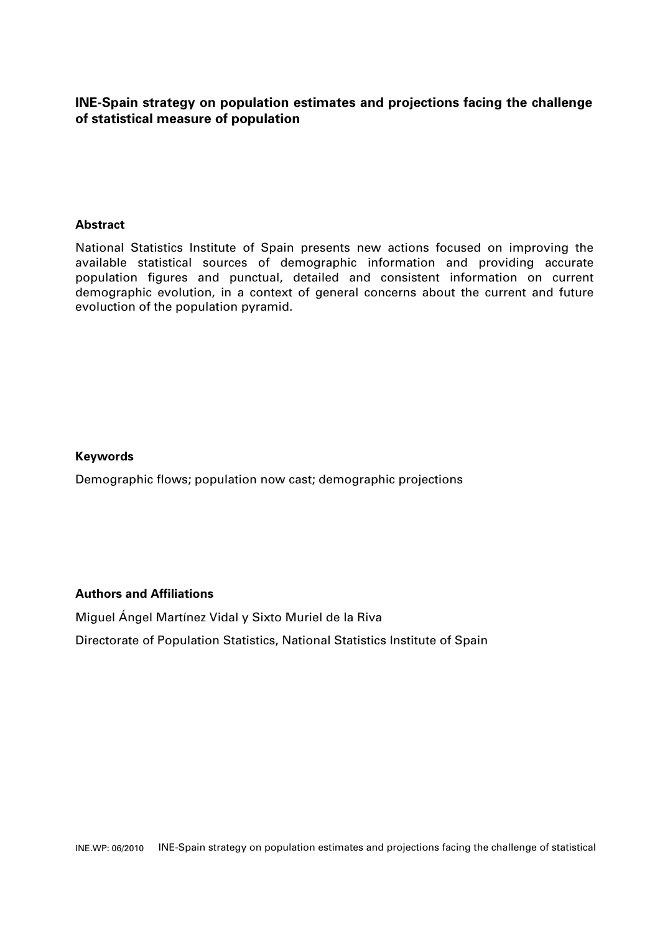# **INE-Spain strategy on population estimates and projections facing the challenge of statistical measure of population**

## **Abstract**

National Statistics Institute of Spain presents new actions focused on improving the available statistical sources of demographic information and providing accurate population figures and punctual, detailed and consistent information on current demographic evolution, in a context of general concerns about the current and future evoluction of the population pyramid.

### **Keywords**

Demographic flows; population now cast; demographic projections

### **Authors and Affiliations**

Miguel Ángel Martínez Vidal y Sixto Muriel de la Riva

Directorate of Population Statistics, National Statistics Institute of Spain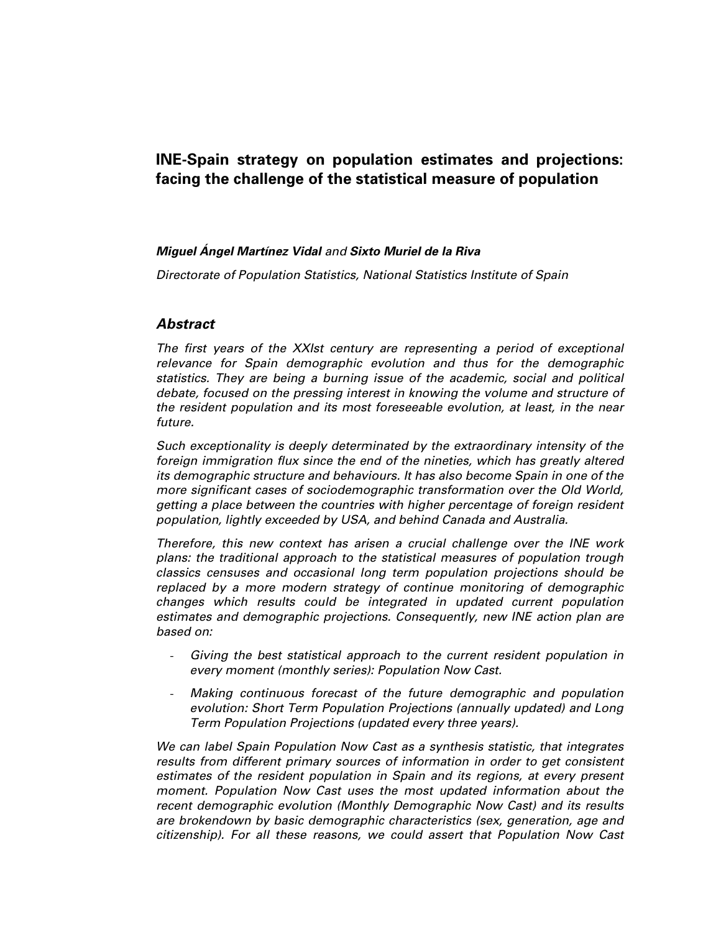# **INE-Spain strategy on population estimates and projections: facing the challenge of the statistical measure of population**

#### **Miguel Ángel Martínez Vidal** and **Sixto Muriel de la Riva**

Directorate of Population Statistics, National Statistics Institute of Spain

## **Abstract**

The first years of the XXIst century are representing a period of exceptional relevance for Spain demographic evolution and thus for the demographic statistics. They are being a burning issue of the academic, social and political debate, focused on the pressing interest in knowing the volume and structure of the resident population and its most foreseeable evolution, at least, in the near future.

Such exceptionality is deeply determinated by the extraordinary intensity of the foreign immigration flux since the end of the nineties, which has greatly altered its demographic structure and behaviours. It has also become Spain in one of the more significant cases of sociodemographic transformation over the Old World, getting a place between the countries with higher percentage of foreign resident population, lightly exceeded by USA, and behind Canada and Australia.

Therefore, this new context has arisen a crucial challenge over the INE work plans: the traditional approach to the statistical measures of population trough classics censuses and occasional long term population projections should be replaced by a more modern strategy of continue monitoring of demographic changes which results could be integrated in updated current population estimates and demographic projections. Consequently, new INE action plan are based on:

- Giving the best statistical approach to the current resident population in every moment (monthly series): Population Now Cast.
- Making continuous forecast of the future demographic and population evolution: Short Term Population Projections (annually updated) and Long Term Population Projections (updated every three years).

We can label Spain Population Now Cast as a synthesis statistic, that integrates results from different primary sources of information in order to get consistent estimates of the resident population in Spain and its regions, at every present moment. Population Now Cast uses the most updated information about the recent demographic evolution (Monthly Demographic Now Cast) and its results are brokendown by basic demographic characteristics (sex, generation, age and citizenship). For all these reasons, we could assert that Population Now Cast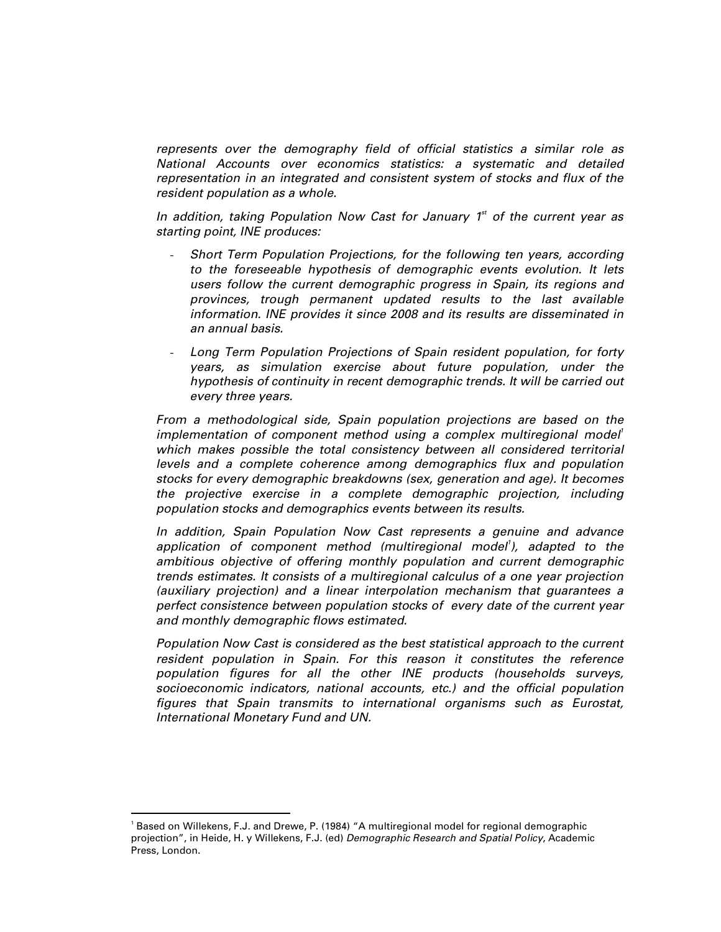represents over the demography field of official statistics a similar role as National Accounts over economics statistics: a systematic and detailed representation in an integrated and consistent system of stocks and flux of the resident population as a whole.

In addition, taking Population Now Cast for January  $1<sup>st</sup>$  of the current year as starting point, INE produces:

- Short Term Population Projections, for the following ten years, according to the foreseeable hypothesis of demographic events evolution. It lets users follow the current demographic progress in Spain, its regions and provinces, trough permanent updated results to the last available information. INE provides it since 2008 and its results are disseminated in an annual basis.
- Long Term Population Projections of Spain resident population, for forty years, as simulation exercise about future population, under the hypothesis of continuity in recent demographic trends. It will be carried out every three years.

From a methodological side, Spain population projections are based on the implementation of component method using a complex multiregional model<sup>1</sup> which makes possible the total consistency between all considered territorial levels and a complete coherence among demographics flux and population stocks for every demographic breakdowns (sex, generation and age). It becomes the projective exercise in a complete demographic projection, including population stocks and demographics events between its results.

In addition, Spain Population Now Cast represents a genuine and advance application of component method (multiregional model<sup>1</sup>), adapted to the ambitious objective of offering monthly population and current demographic trends estimates. It consists of a multiregional calculus of a one year projection (auxiliary projection) and a linear interpolation mechanism that guarantees a perfect consistence between population stocks of every date of the current year and monthly demographic flows estimated.

Population Now Cast is considered as the best statistical approach to the current resident population in Spain. For this reason it constitutes the reference population figures for all the other INE products (households surveys, socioeconomic indicators, national accounts, etc.) and the official population figures that Spain transmits to international organisms such as Eurostat, International Monetary Fund and UN.

-

<sup>1</sup> Based on Willekens, F.J. and Drewe, P. (1984) "A multiregional model for regional demographic projection", in Heide, H. y Willekens, F.J. (ed) Demographic Research and Spatial Policy, Academic Press, London.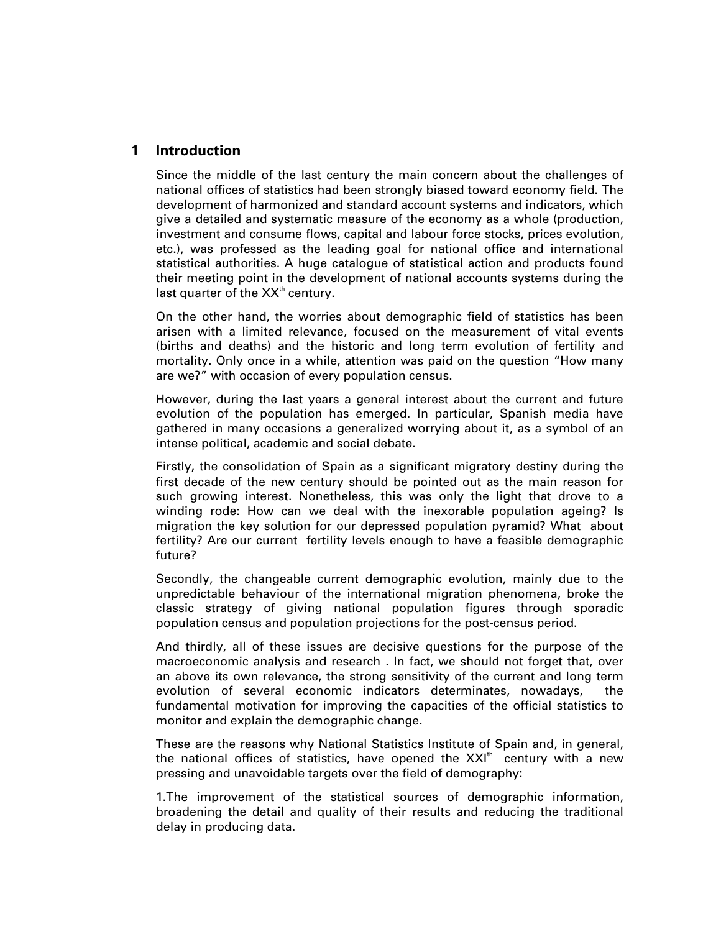# **1 Introduction**

Since the middle of the last century the main concern about the challenges of national offices of statistics had been strongly biased toward economy field. The development of harmonized and standard account systems and indicators, which give a detailed and systematic measure of the economy as a whole (production, investment and consume flows, capital and labour force stocks, prices evolution, etc.), was professed as the leading goal for national office and international statistical authorities. A huge catalogue of statistical action and products found their meeting point in the development of national accounts systems during the last quarter of the  $XX<sup>th</sup>$  century.

On the other hand, the worries about demographic field of statistics has been arisen with a limited relevance, focused on the measurement of vital events (births and deaths) and the historic and long term evolution of fertility and mortality. Only once in a while, attention was paid on the question "How many are we?" with occasion of every population census.

However, during the last years a general interest about the current and future evolution of the population has emerged. In particular, Spanish media have gathered in many occasions a generalized worrying about it, as a symbol of an intense political, academic and social debate.

Firstly, the consolidation of Spain as a significant migratory destiny during the first decade of the new century should be pointed out as the main reason for such growing interest. Nonetheless, this was only the light that drove to a winding rode: How can we deal with the inexorable population ageing? Is migration the key solution for our depressed population pyramid? What about fertility? Are our current fertility levels enough to have a feasible demographic future?

Secondly, the changeable current demographic evolution, mainly due to the unpredictable behaviour of the international migration phenomena, broke the classic strategy of giving national population figures through sporadic population census and population projections for the post-census period.

And thirdly, all of these issues are decisive questions for the purpose of the macroeconomic analysis and research . In fact, we should not forget that, over an above its own relevance, the strong sensitivity of the current and long term evolution of several economic indicators determinates, nowadays, the fundamental motivation for improving the capacities of the official statistics to monitor and explain the demographic change.

These are the reasons why National Statistics Institute of Spain and, in general, the national offices of statistics, have opened the  $XXI^{\text{th}}$  century with a new pressing and unavoidable targets over the field of demography:

1.The improvement of the statistical sources of demographic information, broadening the detail and quality of their results and reducing the traditional delay in producing data.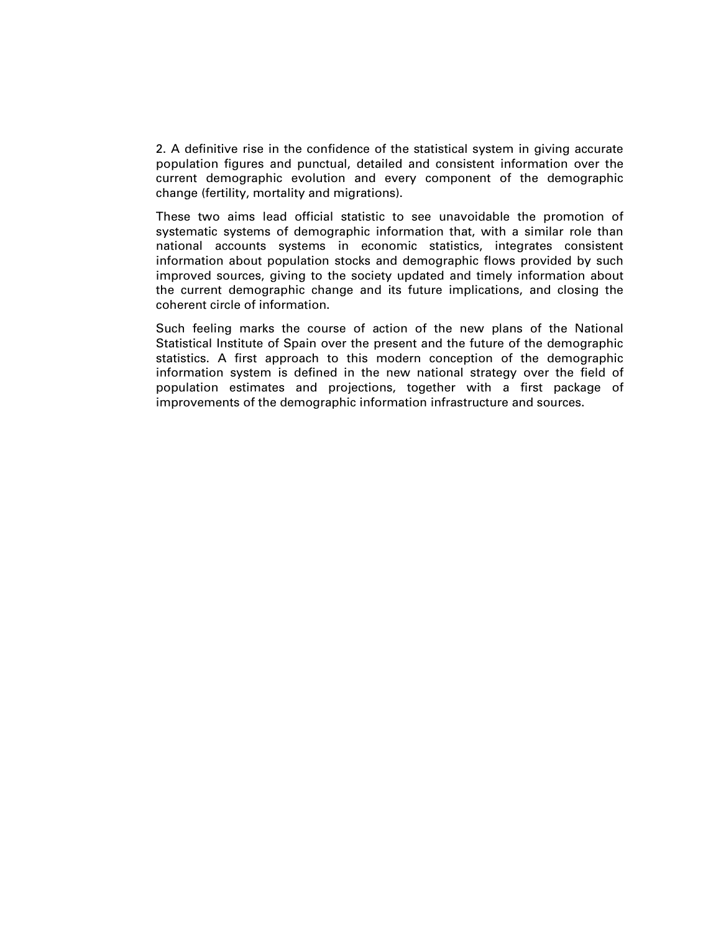2. A definitive rise in the confidence of the statistical system in giving accurate population figures and punctual, detailed and consistent information over the current demographic evolution and every component of the demographic change (fertility, mortality and migrations).

These two aims lead official statistic to see unavoidable the promotion of systematic systems of demographic information that, with a similar role than national accounts systems in economic statistics, integrates consistent information about population stocks and demographic flows provided by such improved sources, giving to the society updated and timely information about the current demographic change and its future implications, and closing the coherent circle of information.

Such feeling marks the course of action of the new plans of the National Statistical Institute of Spain over the present and the future of the demographic statistics. A first approach to this modern conception of the demographic information system is defined in the new national strategy over the field of population estimates and projections, together with a first package of improvements of the demographic information infrastructure and sources.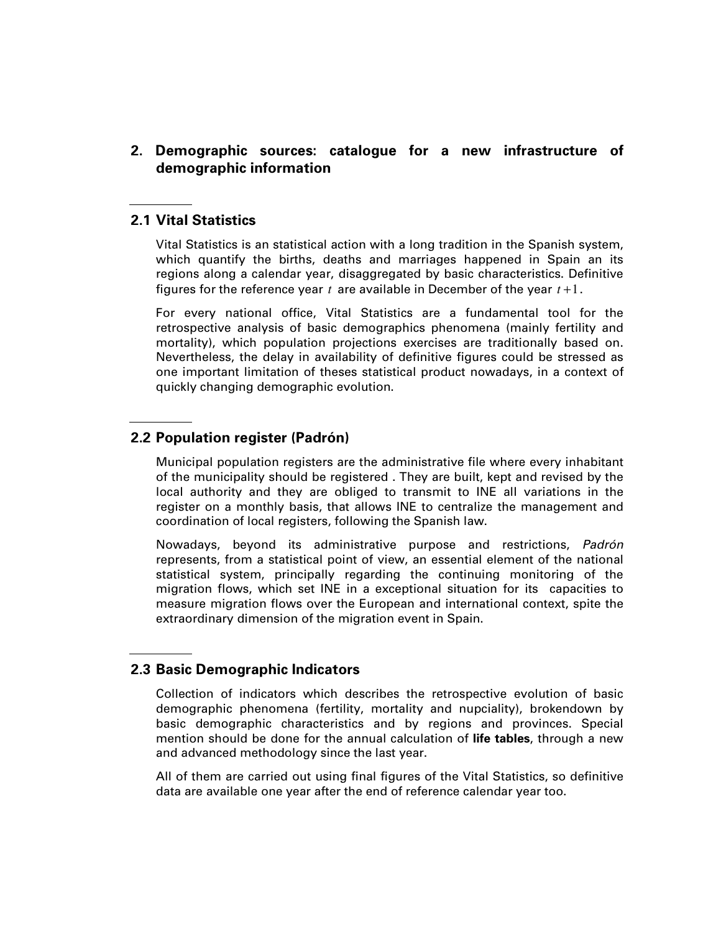**2. Demographic sources: catalogue for a new infrastructure of demographic information** 

### **2.1 Vital Statistics**

Vital Statistics is an statistical action with a long tradition in the Spanish system, which quantify the births, deaths and marriages happened in Spain an its regions along a calendar year, disaggregated by basic characteristics. Definitive figures for the reference year *t* are available in December of the year *t* +1.

For every national office, Vital Statistics are a fundamental tool for the retrospective analysis of basic demographics phenomena (mainly fertility and mortality), which population projections exercises are traditionally based on. Nevertheless, the delay in availability of definitive figures could be stressed as one important limitation of theses statistical product nowadays, in a context of quickly changing demographic evolution.

## **2.2 Population register (Padrón)**

Municipal population registers are the administrative file where every inhabitant of the municipality should be registered . They are built, kept and revised by the local authority and they are obliged to transmit to INE all variations in the register on a monthly basis, that allows INE to centralize the management and coordination of local registers, following the Spanish law.

Nowadays, beyond its administrative purpose and restrictions, Padrón represents, from a statistical point of view, an essential element of the national statistical system, principally regarding the continuing monitoring of the migration flows, which set INE in a exceptional situation for its capacities to measure migration flows over the European and international context, spite the extraordinary dimension of the migration event in Spain.

### **2.3 Basic Demographic Indicators**

Collection of indicators which describes the retrospective evolution of basic demographic phenomena (fertility, mortality and nupciality), brokendown by basic demographic characteristics and by regions and provinces. Special mention should be done for the annual calculation of **life tables**, through a new and advanced methodology since the last year.

All of them are carried out using final figures of the Vital Statistics, so definitive data are available one year after the end of reference calendar year too.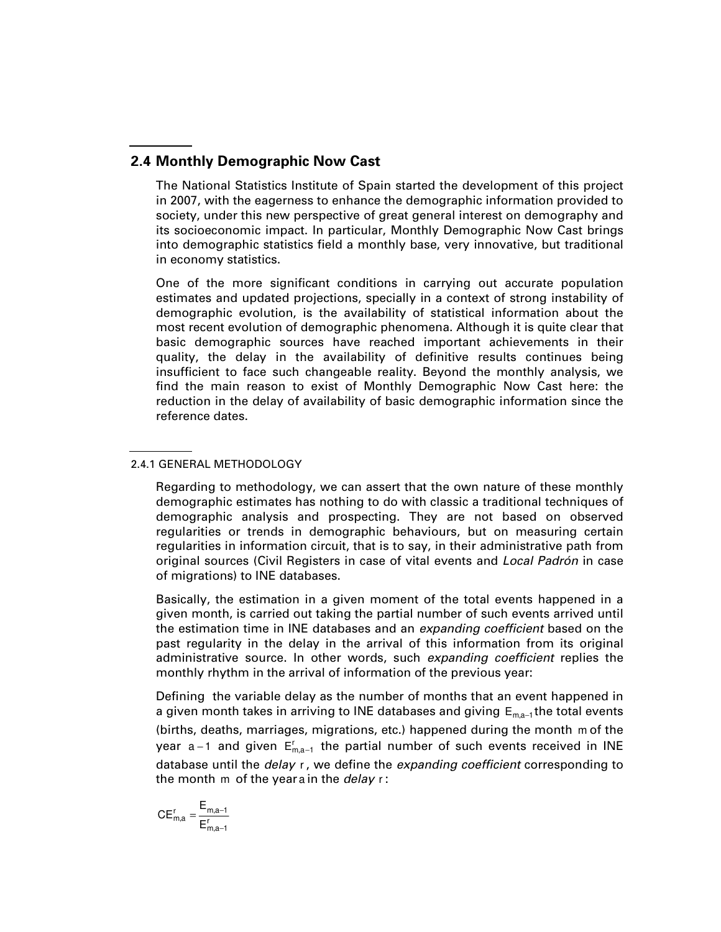# **2.4 Monthly Demographic Now Cast**

The National Statistics Institute of Spain started the development of this project in 2007, with the eagerness to enhance the demographic information provided to society, under this new perspective of great general interest on demography and its socioeconomic impact. In particular, Monthly Demographic Now Cast brings into demographic statistics field a monthly base, very innovative, but traditional in economy statistics.

One of the more significant conditions in carrying out accurate population estimates and updated projections, specially in a context of strong instability of demographic evolution, is the availability of statistical information about the most recent evolution of demographic phenomena. Although it is quite clear that basic demographic sources have reached important achievements in their quality, the delay in the availability of definitive results continues being insufficient to face such changeable reality. Beyond the monthly analysis, we find the main reason to exist of Monthly Demographic Now Cast here: the reduction in the delay of availability of basic demographic information since the reference dates.

#### 2.4.1 GENERAL METHODOLOGY

Regarding to methodology, we can assert that the own nature of these monthly demographic estimates has nothing to do with classic a traditional techniques of demographic analysis and prospecting. They are not based on observed regularities or trends in demographic behaviours, but on measuring certain regularities in information circuit, that is to say, in their administrative path from original sources (Civil Registers in case of vital events and Local Padrón in case of migrations) to INE databases.

Basically, the estimation in a given moment of the total events happened in a given month, is carried out taking the partial number of such events arrived until the estimation time in INE databases and an *expanding coefficient* based on the past regularity in the delay in the arrival of this information from its original administrative source. In other words, such expanding coefficient replies the monthly rhythm in the arrival of information of the previous year:

Defining the variable delay as the number of months that an event happened in a given month takes in arriving to INE databases and giving  $E_{ma-1}$ the total events (births, deaths, marriages, migrations, etc.) happened during the month m of the year a–1 and given  $\mathsf{E}_{\mathsf{m},\mathsf{a}-1}^{\mathsf{r}}$  the partial number of such events received in INE database until the *delay* r, we define the *expanding coefficient* corresponding to the month m of the year a in the *delay*  $r$ :

$$
CE_{m,a}^r=\frac{E_{m,a-1}}{E_{m,a-1}^r}
$$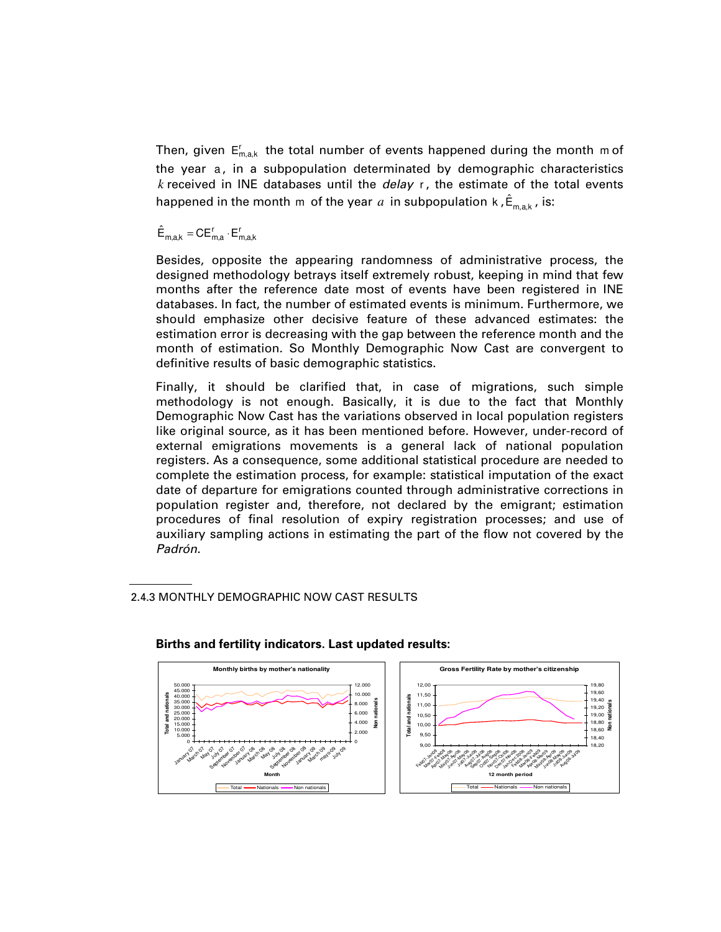Then, given  $\mathsf{E}_{\mathsf{m},\mathsf{a},\mathsf{k}}^{\mathsf{r}}$  the total number of events happened during the month m of the year a, in a subpopulation determinated by demographic characteristics *k* received in INE databases until the delay r , the estimate of the total events happened in the month m of the year  $\it{a}$  in subpopulation k , $\hat{\sf E}_{\sf m,a,k}$  , is:

 $\hat{\mathsf{E}}_{\mathsf{m},\mathsf{a},\mathsf{k}} = \mathsf{CE}^{\mathsf{r}}_{\mathsf{m},\mathsf{a}} \cdot \mathsf{E}^{\mathsf{r}}_{\mathsf{m},\mathsf{a},\mathsf{k}}$ 

Besides, opposite the appearing randomness of administrative process, the designed methodology betrays itself extremely robust, keeping in mind that few months after the reference date most of events have been registered in INE databases. In fact, the number of estimated events is minimum. Furthermore, we should emphasize other decisive feature of these advanced estimates: the estimation error is decreasing with the gap between the reference month and the month of estimation. So Monthly Demographic Now Cast are convergent to definitive results of basic demographic statistics.

Finally, it should be clarified that, in case of migrations, such simple methodology is not enough. Basically, it is due to the fact that Monthly Demographic Now Cast has the variations observed in local population registers like original source, as it has been mentioned before. However, under-record of external emigrations movements is a general lack of national population registers. As a consequence, some additional statistical procedure are needed to complete the estimation process, for example: statistical imputation of the exact date of departure for emigrations counted through administrative corrections in population register and, therefore, not declared by the emigrant; estimation procedures of final resolution of expiry registration processes; and use of auxiliary sampling actions in estimating the part of the flow not covered by the Padrón.

2.4.3 MONTHLY DEMOGRAPHIC NOW CAST RESULTS



# **Births and fertility indicators. Last updated results:**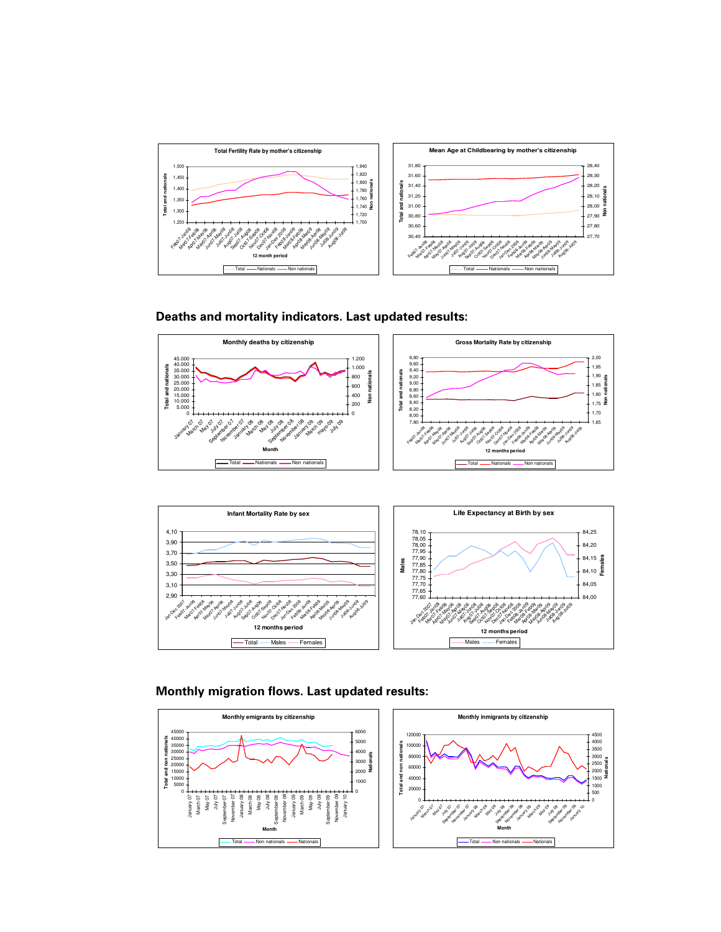







#### **Monthly migration flows. Last updated results:**

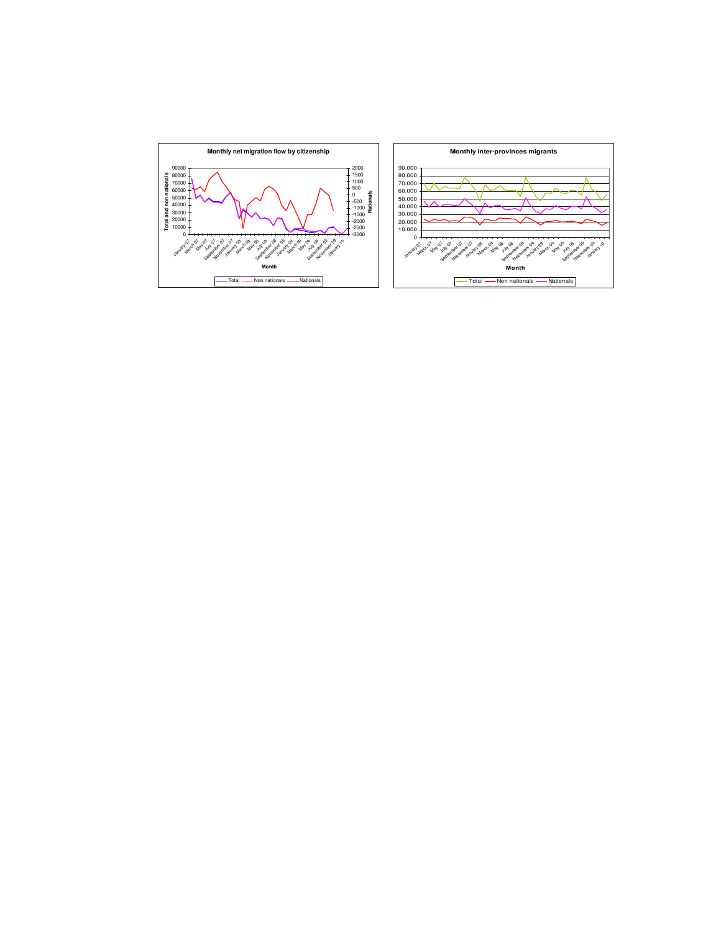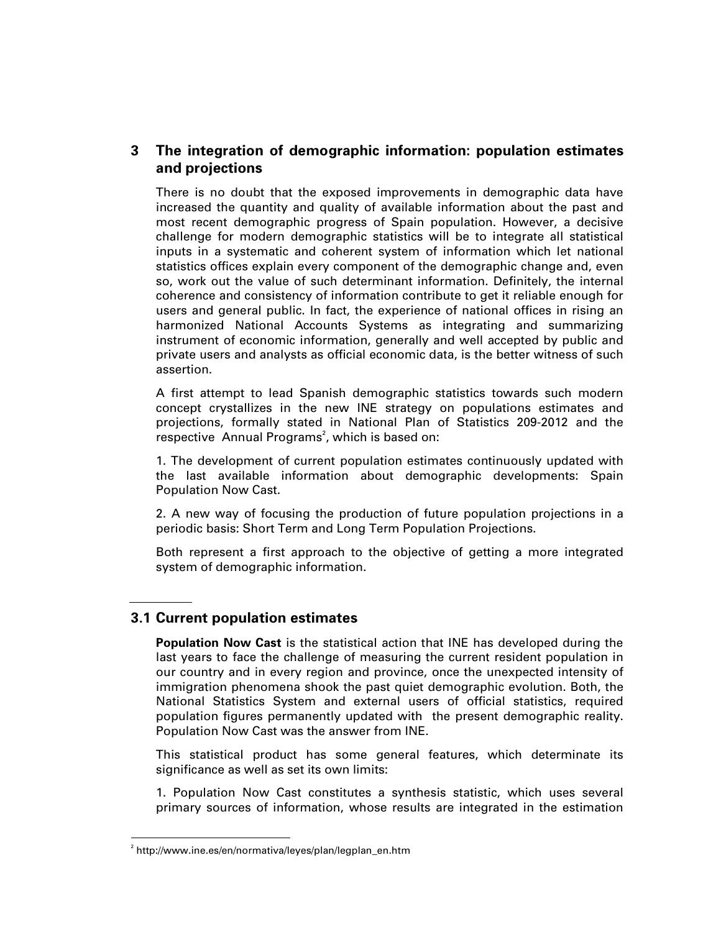# **3 The integration of demographic information: population estimates and projections**

There is no doubt that the exposed improvements in demographic data have increased the quantity and quality of available information about the past and most recent demographic progress of Spain population. However, a decisive challenge for modern demographic statistics will be to integrate all statistical inputs in a systematic and coherent system of information which let national statistics offices explain every component of the demographic change and, even so, work out the value of such determinant information. Definitely, the internal coherence and consistency of information contribute to get it reliable enough for users and general public. In fact, the experience of national offices in rising an harmonized National Accounts Systems as integrating and summarizing instrument of economic information, generally and well accepted by public and private users and analysts as official economic data, is the better witness of such assertion.

A first attempt to lead Spanish demographic statistics towards such modern concept crystallizes in the new INE strategy on populations estimates and projections, formally stated in National Plan of Statistics 209-2012 and the respective Annual Programs<sup>2</sup>, which is based on:

1. The development of current population estimates continuously updated with the last available information about demographic developments: Spain Population Now Cast.

2. A new way of focusing the production of future population projections in a periodic basis: Short Term and Long Term Population Projections.

Both represent a first approach to the objective of getting a more integrated system of demographic information.

# **3.1 Current population estimates**

**Population Now Cast** is the statistical action that INE has developed during the last years to face the challenge of measuring the current resident population in our country and in every region and province, once the unexpected intensity of immigration phenomena shook the past quiet demographic evolution. Both, the National Statistics System and external users of official statistics, required population figures permanently updated with the present demographic reality. Population Now Cast was the answer from INE.

This statistical product has some general features, which determinate its significance as well as set its own limits:

1. Population Now Cast constitutes a synthesis statistic, which uses several primary sources of information, whose results are integrated in the estimation

-

<sup>2</sup> http://www.ine.es/en/normativa/leyes/plan/legplan\_en.htm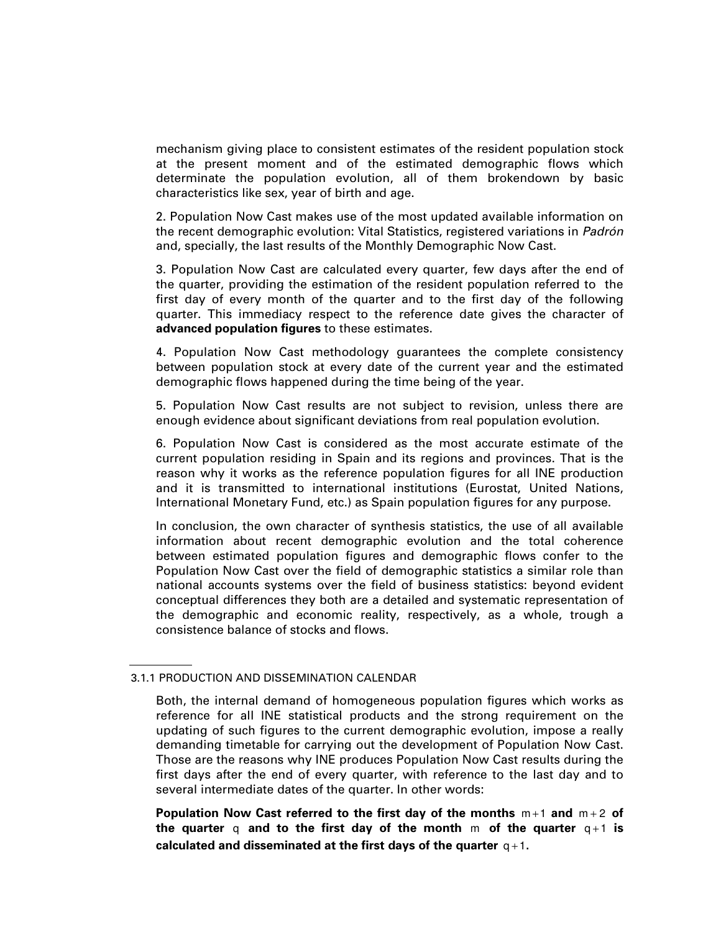mechanism giving place to consistent estimates of the resident population stock at the present moment and of the estimated demographic flows which determinate the population evolution, all of them brokendown by basic characteristics like sex, year of birth and age.

2. Population Now Cast makes use of the most updated available information on the recent demographic evolution: Vital Statistics, registered variations in Padrón and, specially, the last results of the Monthly Demographic Now Cast.

3. Population Now Cast are calculated every quarter, few days after the end of the quarter, providing the estimation of the resident population referred to the first day of every month of the quarter and to the first day of the following quarter. This immediacy respect to the reference date gives the character of **advanced population figures** to these estimates.

4. Population Now Cast methodology guarantees the complete consistency between population stock at every date of the current year and the estimated demographic flows happened during the time being of the year.

5. Population Now Cast results are not subject to revision, unless there are enough evidence about significant deviations from real population evolution.

6. Population Now Cast is considered as the most accurate estimate of the current population residing in Spain and its regions and provinces. That is the reason why it works as the reference population figures for all INE production and it is transmitted to international institutions (Eurostat, United Nations, International Monetary Fund, etc.) as Spain population figures for any purpose.

In conclusion, the own character of synthesis statistics, the use of all available information about recent demographic evolution and the total coherence between estimated population figures and demographic flows confer to the Population Now Cast over the field of demographic statistics a similar role than national accounts systems over the field of business statistics: beyond evident conceptual differences they both are a detailed and systematic representation of the demographic and economic reality, respectively, as a whole, trough a consistence balance of stocks and flows.

**Population Now Cast referred to the first day of the months**  $m+1$  **and**  $m+2$  **of the quarter** q and to the first day of the month  $m$  of the quarter  $q+1$  is calculated and disseminated at the first days of the quarter  $q+1$ .

<sup>3.1.1</sup> PRODUCTION AND DISSEMINATION CALENDAR

Both, the internal demand of homogeneous population figures which works as reference for all INE statistical products and the strong requirement on the updating of such figures to the current demographic evolution, impose a really demanding timetable for carrying out the development of Population Now Cast. Those are the reasons why INE produces Population Now Cast results during the first days after the end of every quarter, with reference to the last day and to several intermediate dates of the quarter. In other words: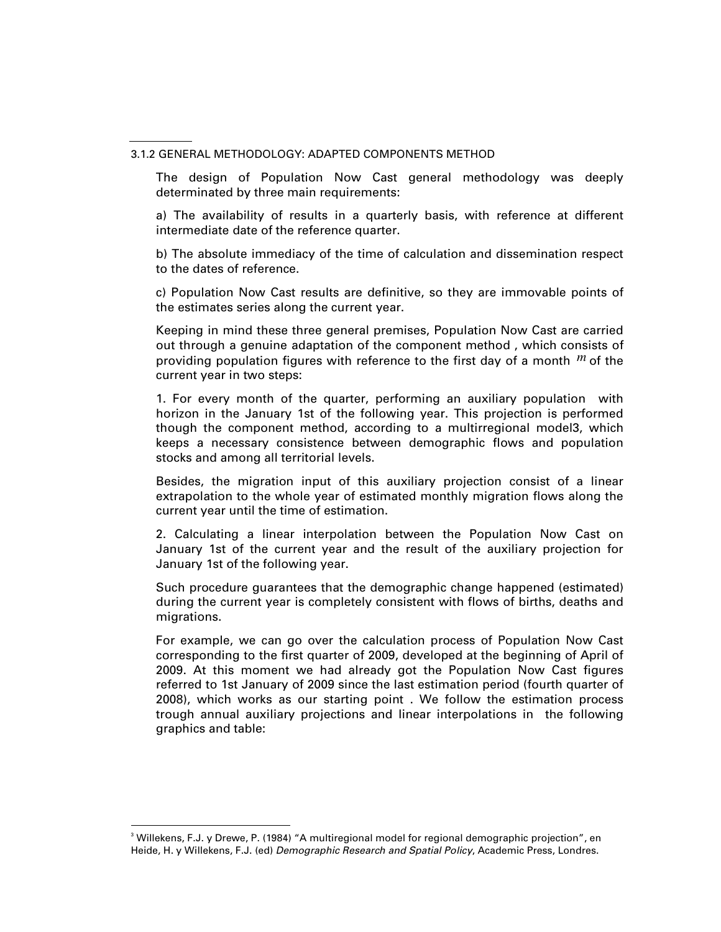The design of Population Now Cast general methodology was deeply determinated by three main requirements:

a) The availability of results in a quarterly basis, with reference at different intermediate date of the reference quarter.

b) The absolute immediacy of the time of calculation and dissemination respect to the dates of reference.

c) Population Now Cast results are definitive, so they are immovable points of the estimates series along the current year.

Keeping in mind these three general premises, Population Now Cast are carried out through a genuine adaptation of the component method , which consists of providing population figures with reference to the first day of a month *<sup>m</sup>* of the current year in two steps:

1. For every month of the quarter, performing an auxiliary population with horizon in the January 1st of the following year. This projection is performed though the component method, according to a multirregional model3, which keeps a necessary consistence between demographic flows and population stocks and among all territorial levels.

Besides, the migration input of this auxiliary projection consist of a linear extrapolation to the whole year of estimated monthly migration flows along the current year until the time of estimation.

2. Calculating a linear interpolation between the Population Now Cast on January 1st of the current year and the result of the auxiliary projection for January 1st of the following year.

Such procedure guarantees that the demographic change happened (estimated) during the current year is completely consistent with flows of births, deaths and migrations.

For example, we can go over the calculation process of Population Now Cast corresponding to the first quarter of 2009, developed at the beginning of April of 2009. At this moment we had already got the Population Now Cast figures referred to 1st January of 2009 since the last estimation period (fourth quarter of 2008), which works as our starting point . We follow the estimation process trough annual auxiliary projections and linear interpolations in the following graphics and table:

-

<sup>3.1.2</sup> GENERAL METHODOLOGY: ADAPTED COMPONENTS METHOD

<sup>&</sup>lt;sup>3</sup> Willekens, F.J. y Drewe, P. (1984) "A multiregional model for regional demographic projection", en Heide, H. y Willekens, F.J. (ed) Demographic Research and Spatial Policy, Academic Press, Londres.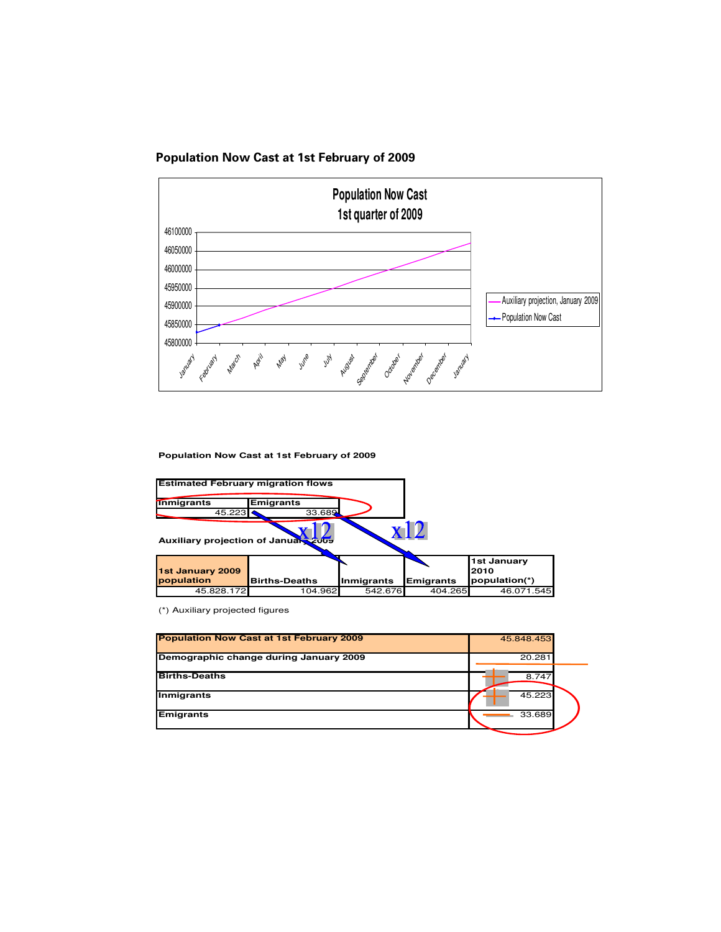



**Population Now Cast at 1st February of 2009**

| <b>Estimated February migration flows</b> |                            |            |                  |                                      |  |
|-------------------------------------------|----------------------------|------------|------------------|--------------------------------------|--|
| <b>Inmigrants</b><br>45.223               | <b>Emigrants</b><br>33.689 |            |                  |                                      |  |
| Auxiliary projection of January 2009      |                            |            |                  |                                      |  |
| 1st January 2009<br>population            | <b>Births-Deaths</b>       | Inmigrants | <b>Emigrants</b> | 1st January<br>2010<br>population(*) |  |
| 45.828.172                                | 104.962                    | 542.676    | 404.265          | 46.071.545                           |  |

(\*) Auxiliary projected figures

| Demographic change during January 2009 | 20.281 |
|----------------------------------------|--------|
|                                        |        |
| <b>Births-Deaths</b>                   | 8.747  |
| <b>Inmigrants</b>                      | 45.223 |
| <b>Emigrants</b>                       | 33.689 |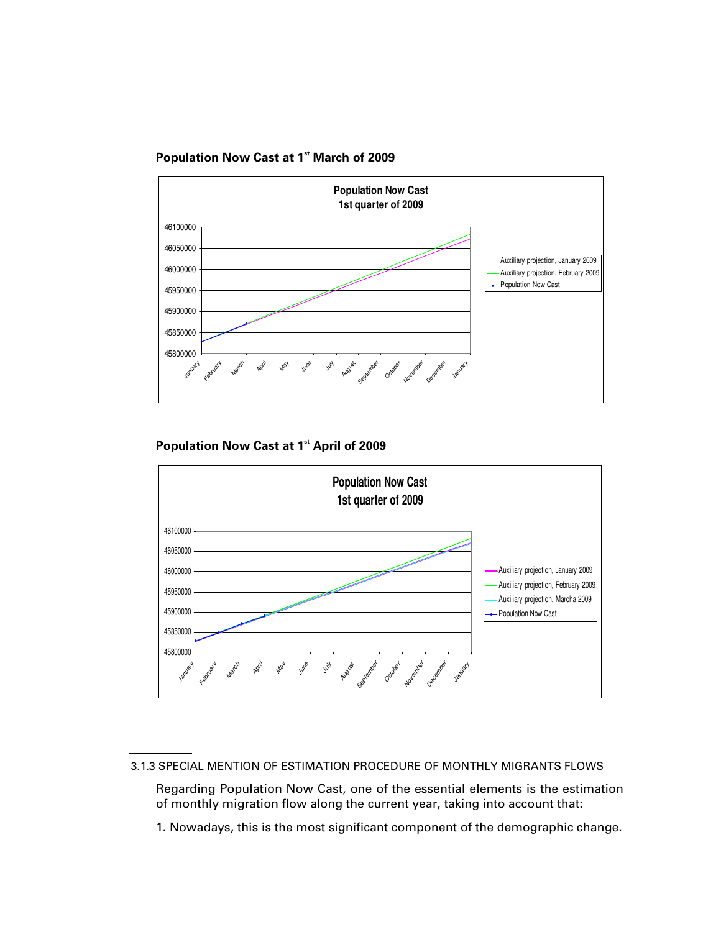



**Population Now Cast at 1st April of 2009** 



1. Nowadays, this is the most significant component of the demographic change.

<sup>3.1.3</sup> SPECIAL MENTION OF ESTIMATION PROCEDURE OF MONTHLY MIGRANTS FLOWS

Regarding Population Now Cast, one of the essential elements is the estimation of monthly migration flow along the current year, taking into account that: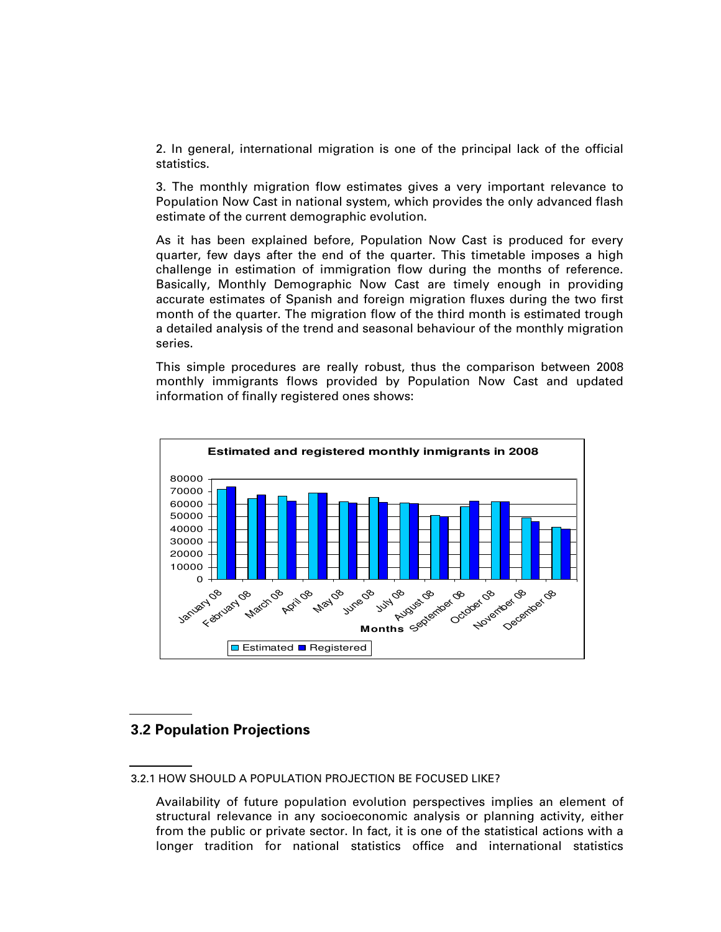2. In general, international migration is one of the principal lack of the official statistics.

3. The monthly migration flow estimates gives a very important relevance to Population Now Cast in national system, which provides the only advanced flash estimate of the current demographic evolution.

As it has been explained before, Population Now Cast is produced for every quarter, few days after the end of the quarter. This timetable imposes a high challenge in estimation of immigration flow during the months of reference. Basically, Monthly Demographic Now Cast are timely enough in providing accurate estimates of Spanish and foreign migration fluxes during the two first month of the quarter. The migration flow of the third month is estimated trough a detailed analysis of the trend and seasonal behaviour of the monthly migration series.

This simple procedures are really robust, thus the comparison between 2008 monthly immigrants flows provided by Population Now Cast and updated information of finally registered ones shows:



### **3.2 Population Projections**

<sup>3.2.1</sup> HOW SHOULD A POPULATION PROJECTION BE FOCUSED LIKE?

Availability of future population evolution perspectives implies an element of structural relevance in any socioeconomic analysis or planning activity, either from the public or private sector. In fact, it is one of the statistical actions with a longer tradition for national statistics office and international statistics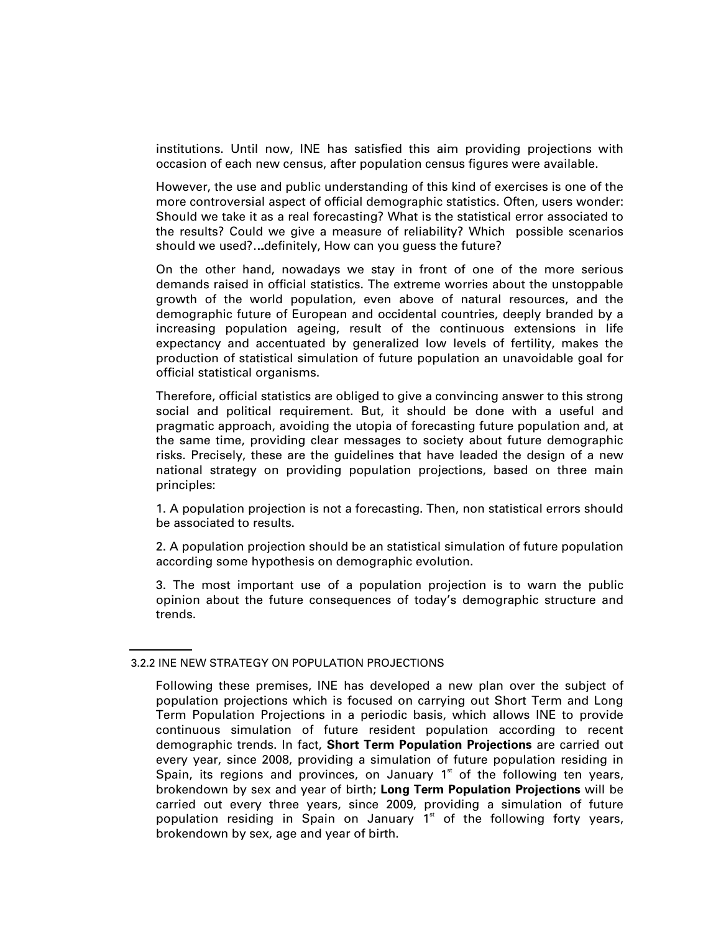institutions. Until now, INE has satisfied this aim providing projections with occasion of each new census, after population census figures were available.

However, the use and public understanding of this kind of exercises is one of the more controversial aspect of official demographic statistics. Often, users wonder: Should we take it as a real forecasting? What is the statistical error associated to the results? Could we give a measure of reliability? Which possible scenarios should we used?...definitely, How can you guess the future?

On the other hand, nowadays we stay in front of one of the more serious demands raised in official statistics. The extreme worries about the unstoppable growth of the world population, even above of natural resources, and the demographic future of European and occidental countries, deeply branded by a increasing population ageing, result of the continuous extensions in life expectancy and accentuated by generalized low levels of fertility, makes the production of statistical simulation of future population an unavoidable goal for official statistical organisms.

Therefore, official statistics are obliged to give a convincing answer to this strong social and political requirement. But, it should be done with a useful and pragmatic approach, avoiding the utopia of forecasting future population and, at the same time, providing clear messages to society about future demographic risks. Precisely, these are the guidelines that have leaded the design of a new national strategy on providing population projections, based on three main principles:

1. A population projection is not a forecasting. Then, non statistical errors should be associated to results.

2. A population projection should be an statistical simulation of future population according some hypothesis on demographic evolution.

3. The most important use of a population projection is to warn the public opinion about the future consequences of today's demographic structure and trends.

<sup>3.2.2</sup> INE NEW STRATEGY ON POPULATION PROJECTIONS

Following these premises, INE has developed a new plan over the subject of population projections which is focused on carrying out Short Term and Long Term Population Projections in a periodic basis, which allows INE to provide continuous simulation of future resident population according to recent demographic trends. In fact, **Short Term Population Projections** are carried out every year, since 2008, providing a simulation of future population residing in Spain, its regions and provinces, on January  $1<sup>st</sup>$  of the following ten years, brokendown by sex and year of birth; **Long Term Population Projections** will be carried out every three years, since 2009, providing a simulation of future population residing in Spain on January  $1<sup>st</sup>$  of the following forty years, brokendown by sex, age and year of birth.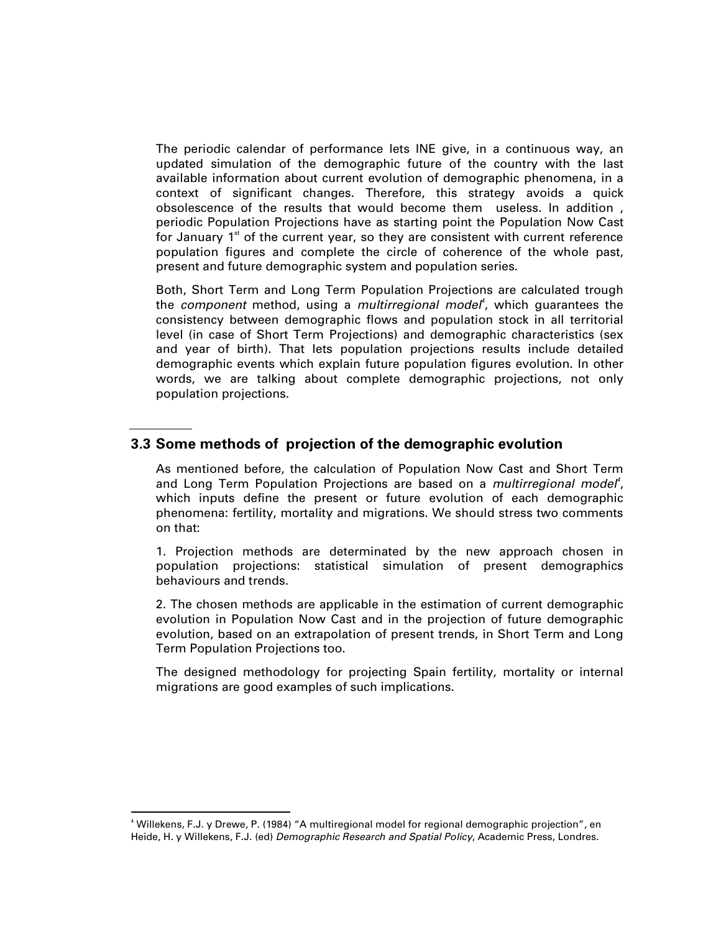The periodic calendar of performance lets INE give, in a continuous way, an updated simulation of the demographic future of the country with the last available information about current evolution of demographic phenomena, in a context of significant changes. Therefore, this strategy avoids a quick obsolescence of the results that would become them useless. In addition , periodic Population Projections have as starting point the Population Now Cast for January  $1<sup>st</sup>$  of the current year, so they are consistent with current reference population figures and complete the circle of coherence of the whole past, present and future demographic system and population series.

Both, Short Term and Long Term Population Projections are calculated trough the component method, using a multirregional model<sup>4</sup>, which guarantees the consistency between demographic flows and population stock in all territorial level (in case of Short Term Projections) and demographic characteristics (sex and year of birth). That lets population projections results include detailed demographic events which explain future population figures evolution. In other words, we are talking about complete demographic projections, not only population projections.

# **3.3 Some methods of projection of the demographic evolution**

As mentioned before, the calculation of Population Now Cast and Short Term and Long Term Population Projections are based on a multirregional model<sup>4</sup>, which inputs define the present or future evolution of each demographic phenomena: fertility, mortality and migrations. We should stress two comments on that:

1. Projection methods are determinated by the new approach chosen in population projections: statistical simulation of present demographics behaviours and trends.

2. The chosen methods are applicable in the estimation of current demographic evolution in Population Now Cast and in the projection of future demographic evolution, based on an extrapolation of present trends, in Short Term and Long Term Population Projections too.

The designed methodology for projecting Spain fertility, mortality or internal migrations are good examples of such implications.

-

<sup>4</sup> Willekens, F.J. y Drewe, P. (1984) "A multiregional model for regional demographic projection", en Heide, H. y Willekens, F.J. (ed) Demographic Research and Spatial Policy, Academic Press, Londres.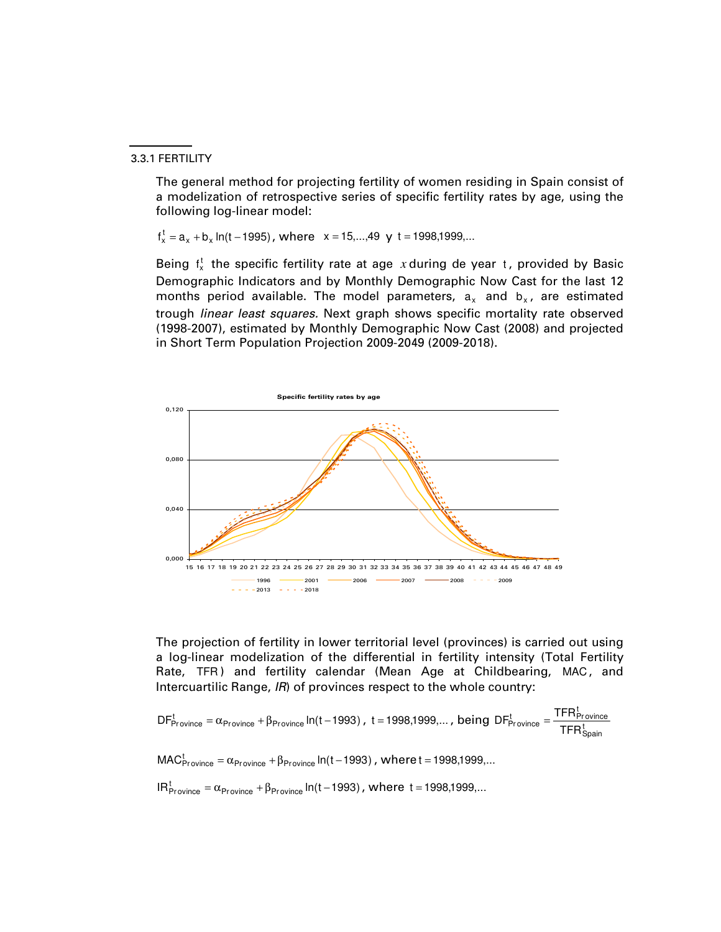#### 3.3.1 FERTILITY

The general method for projecting fertility of women residing in Spain consist of a modelization of retrospective series of specific fertility rates by age, using the following log-linear model:

 $f_x^t = a_x + b_x \ln(t - 1995)$ , where  $x = 15,...,49$  y t = 1998,1999,...

Being  $f_x^t$  the specific fertility rate at age  $x$  during de year t, provided by Basic Demographic Indicators and by Monthly Demographic Now Cast for the last 12 months period available. The model parameters,  $a_x$  and  $b_x$ , are estimated trough linear least squares. Next graph shows specific mortality rate observed (1998-2007), estimated by Monthly Demographic Now Cast (2008) and projected in Short Term Population Projection 2009-2049 (2009-2018).



The projection of fertility in lower territorial level (provinces) is carried out using a log-linear modelization of the differential in fertility intensity (Total Fertility Rate, TFR) and fertility calendar (Mean Age at Childbearing, MAC, and Intercuartilic Range, IR) of provinces respect to the whole country:

$$
DF_{\text{Province}}^{t} = \alpha_{\text{Province}} + \beta_{\text{Province}} \ln(t - 1993), t = 1998,1999,..., being DF_{\text{Province}}^{t} = \frac{TFR_{\text{Province}}^{t}}{TFR_{\text{Spain}}^{t}}
$$

 $\mathsf{MAC}_{\mathsf{Province}}^{\mathsf{t}} = \alpha_{\mathsf{Province}} + \beta_{\mathsf{Province}} \ln(\mathsf{t}-1993)$  , where  $\mathsf{t} = 1998{,}1999{,}...$ 

 $IR_{Province}^t = \alpha_{Province} + \beta_{Province} \ln(t - 1993)$ , where  $t = 1998,1999,...$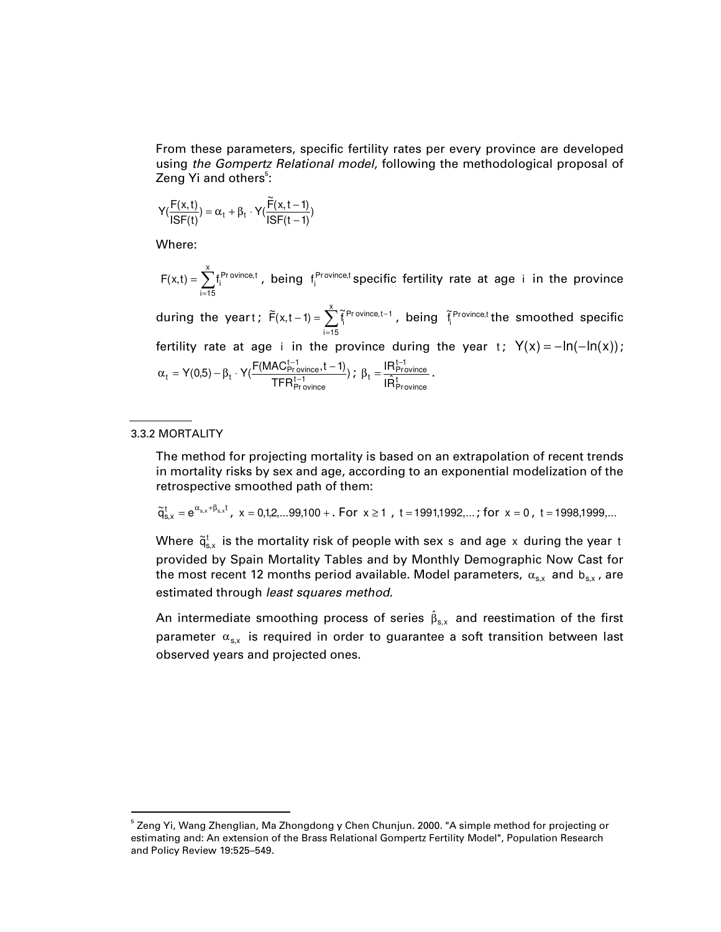From these parameters, specific fertility rates per every province are developed using the Gompertz Relational model, following the methodological proposal of Zeng Yi and others<sup>5</sup>:

$$
Y(\frac{F(x,t)}{ISF(t)}) = \alpha_t + \beta_t \cdot Y(\frac{\widetilde{F}(x,t-1)}{ISF(t-1)})
$$

Where:

 $\hat{\Sigma}$ = = x i=15  $F(x,t) = \sum f_i^{\text{Province},t}$ , being  $f_i^{\text{Province},t}$  specific fertility rate at age i in the province during the yeart;  $\widetilde{F}(x,t-1) = \sum_{n=1}^{\infty}$ =  $-1$ ) =  $\sum \tilde{f}$  Pr ovince, tx i=15  $\widetilde{F}(x,t-1) = \sum_{i=1}^{n} \widetilde{f}_i^{Province,t-1}$ , being  $\widetilde{f}_i^{Province,t}$  the smoothed specific fertility rate at age i in the province during the year t;  $Y(x) = -\ln(-\ln(x));$ ) TFR  $\mathsf{Y}(0,5) - \beta_{\mathsf{t}} \cdot \mathsf{Y}(\frac{\mathsf{F}(\mathsf{MAC}_{\mathsf{Province}}^{\mathsf{t}-1},\mathsf{t}-1)}{\mathsf{TFR}_{\mathsf{Province}}^{\mathsf{t}-1}}$  $\beta_{\text{t}} = \mathsf{Y}(0,5) - \beta_{\text{t}} \cdot \mathsf{Y}(\frac{\mathsf{F}(\mathsf{MAC}_{\mathsf{Pro}}^{\mathsf{t}-1})}{\mathsf{TPD}^{\mathsf{t}-1}}$  $\alpha_t = Y(0,5) - \beta_t \cdot Y(\frac{F(MAC_{Province}^{t-1}, t-1)}{TFR_{Province}^{t-1}}); \ \beta_t = \frac{IR_{Province}^{t-1}}{IR_{Province}^{k}}$  $t = \frac{IR_{\text{Province}}^{t-1}}{IR_{\text{Province}}^{t}}$  $\beta_t = \frac{\text{IR}_{\text{Province}}^{\text{t}-1}}{\hat{\mathcal{F}}_t}$ .

#### 3.3.2 MORTALITY

-

The method for projecting mortality is based on an extrapolation of recent trends in mortality risks by sex and age, according to an exponential modelization of the retrospective smoothed path of them:

$$
\widetilde{q}_{s,x}^t = e^{\alpha_{s,x} + \beta_{s,x} t}, \ \ x = 0,1,2,...99,100 + . \ \ For \ \ x \geq 1 \ , \ t = 1991,1992,... \ ; \ for \ \ x = 0 \ , \ t = 1998,1999,...
$$

Where  $\widetilde{\mathsf{q}}_{\mathsf{s},\mathsf{x}}^{\mathsf{t}}$  is the mortality risk of people with sex  $\mathsf{s}\,$  and age  $\mathsf{x}\,$  during the year  $\mathsf{t}\,$ provided by Spain Mortality Tables and by Monthly Demographic Now Cast for the most recent 12 months period available. Model parameters,  $\alpha_{\rm s,x}$  and  $\rm b_{\rm s,x}$  , are estimated through least squares method.

An intermediate smoothing process of series  $\hat \beta_{s,x}$  and reestimation of the first parameter  $\alpha_{\text{s},x}$  is required in order to guarantee a soft transition between last observed years and projected ones.

 $^{\rm 5}$  Zeng Yi, Wang Zhenglian, Ma Zhongdong y Chen Chunjun. 2000. "A simple method for projecting or estimating and: An extension of the Brass Relational Gompertz Fertility Model", Population Research and Policy Review 19:525–549.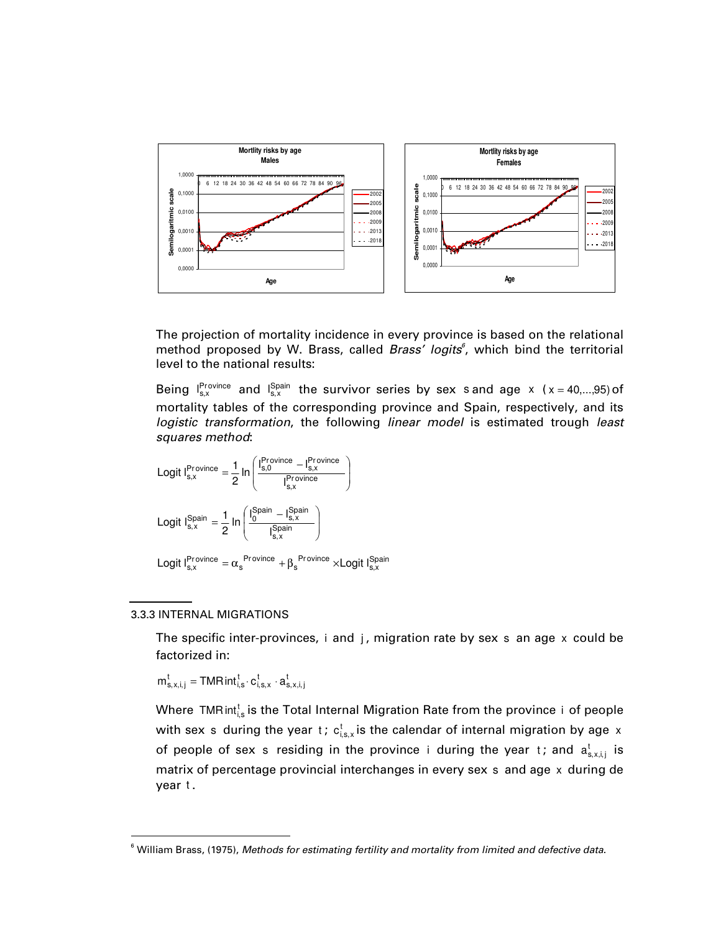

The projection of mortality incidence in every province is based on the relational method proposed by W. Brass, called Brass' logits<sup>6</sup>, which bind the territorial level to the national results:

Being  $I_{s,x}^{\text{Province}}$  and  $I_{s,x}^{\text{Spain}}$  the survivor series by sex s and age x (x = 40,...,95) of mortality tables of the corresponding province and Spain, respectively, and its logistic transformation, the following linear model is estimated trough least squares method:

$$
\begin{aligned}\n\text{Logit } I_{s,x}^{\text{Province}} &= \frac{1}{2} \ln \left( \frac{I_{s,0}^{\text{Province}} - I_{s,x}^{\text{Province}}}{I_{s,x}^{\text{Province}}} \right) \\
\text{Logit } I_{s,x}^{\text{Spain}} &= \frac{1}{2} \ln \left( \frac{I_{0}^{\text{Spain}} - I_{s,x}^{\text{Spain}}}{I_{s,x}^{\text{Spain}}} \right) \\
\text{Logit } I_{s,x}^{\text{Province}} &= \alpha_{s}^{\text{Province}} + \beta_{s}^{\text{Province}} \times \text{Logit } I_{s,x}^{\text{Spain}}\n\end{aligned}
$$

#### 3.3.3 INTERNAL MIGRATIONS

-

The specific inter-provinces,  $i$  and  $j$ , migration rate by sex s an age  $x$  could be factorized in:

$$
m_{s,x,i,j}^t = \text{TMR}\,int_{i,s}^t \cdot c_{i,s,x}^t \cdot a_{s,x,i,j}^t
$$

Where TMR $\mathsf{int}_{\mathsf{i},\mathsf{s}}^\mathsf{t}$  is the Total Internal Migration Rate from the province  $\mathsf{i}\,$  of people with sex  $\,$  s during the year  $\,$  ;  $\,$  c $_{\rm i,s,x}^{\rm t}$  is the calendar of internal migration by age  $\,$  x  $\,$ of people of sex s residing in the province i during the year t; and  $\mathsf{a}^\mathsf{t}_{\mathsf{s},\mathsf{x},\mathsf{i},\mathsf{j}}$  is matrix of percentage provincial interchanges in every sex s and age x during de year t.

 $6$  William Brass, (1975), Methods for estimating fertility and mortality from limited and defective data.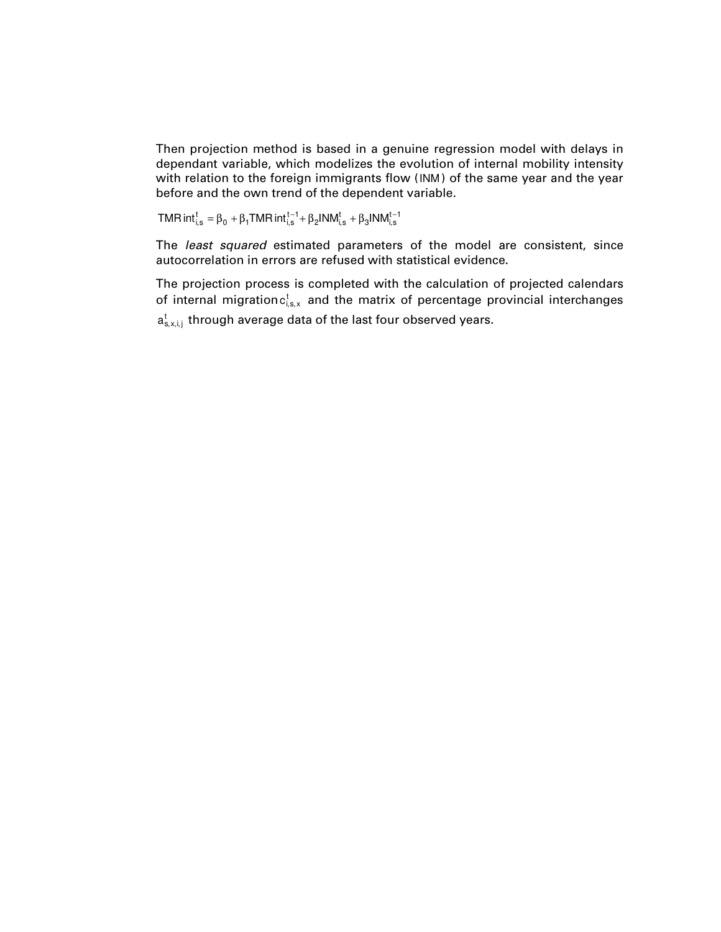Then projection method is based in a genuine regression model with delays in dependant variable, which modelizes the evolution of internal mobility intensity with relation to the foreign immigrants flow (INM ) of the same year and the year before and the own trend of the dependent variable.

TMR int $_{i,s}^{t} = \beta_0 + \beta_1$ TMR int $_{i,s}^{t-1} + \beta_2$ INM $_{i,s}^{t} + \beta_3$ INM $_{i,s}^{t-1}$ 

The least squared estimated parameters of the model are consistent, since autocorrelation in errors are refused with statistical evidence.

The projection process is completed with the calculation of projected calendars of internal migration ${\sf c}^{\sf t}_{\sf i,s,x}$  and the matrix of percentage provincial interchanges  $\mathsf{a}^\mathsf{t}_{\mathsf{s},\mathsf{x},\mathsf{i},\mathsf{j}}$  through average data of the last four observed years.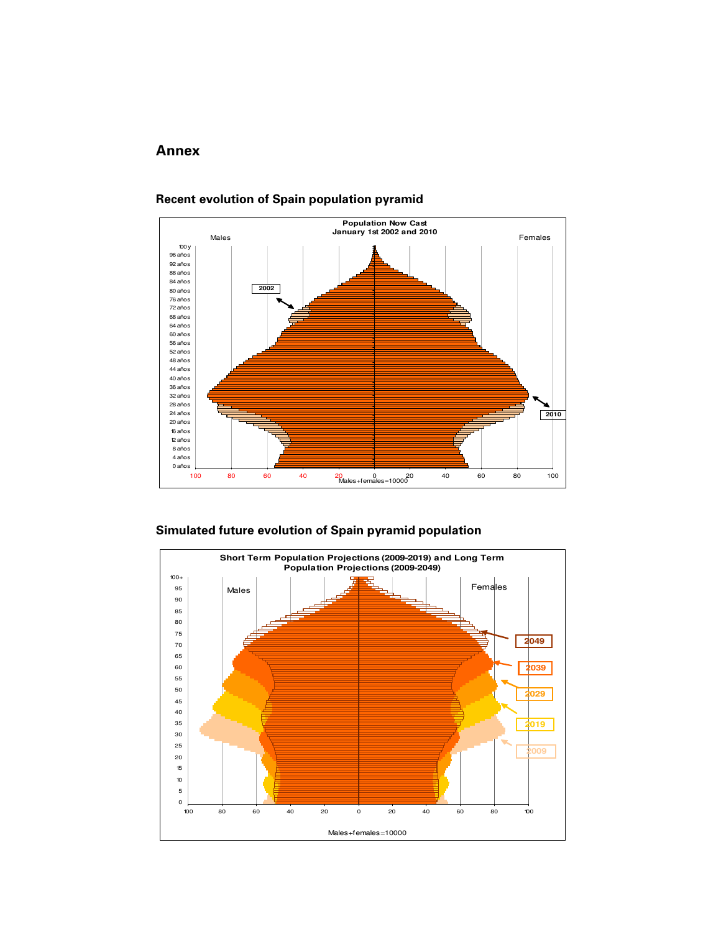# **Annex**



#### **Recent evolution of Spain population pyramid**

### **Simulated future evolution of Spain pyramid population**